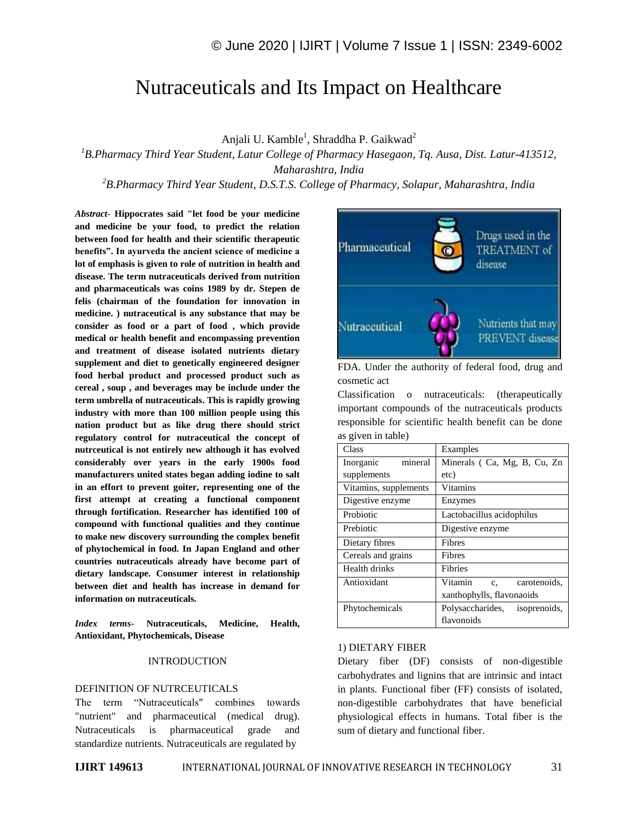# Nutraceuticals and Its Impact on Healthcare

Anjali U. Kamble<sup>1</sup>, Shraddha P. Gaikwad<sup>2</sup>

*<sup>1</sup>B.Pharmacy Third Year Student, Latur College of Pharmacy Hasegaon, Tq. Ausa, Dist. Latur-413512, Maharashtra, India*

*<sup>2</sup>B.Pharmacy Third Year Student, D.S.T.S. College of Pharmacy, Solapur, Maharashtra, India*

*Abstract*- **Hippocrates said "let food be your medicine and medicine be your food, to predict the relation between food for health and their scientific therapeutic benefits". In ayurveda the ancient science of medicine a lot of emphasis is given to role of nutrition in health and disease. The term nutraceuticals derived from nutrition and pharmaceuticals was coins 1989 by dr. Stepen de felis (chairman of the foundation for innovation in medicine. ) nutraceutical is any substance that may be consider as food or a part of food , which provide medical or health benefit and encompassing prevention and treatment of disease isolated nutrients dietary supplement and diet to genetically engineered designer food herbal product and processed product such as cereal , soup , and beverages may be include under the term umbrella of nutraceuticals. This is rapidly growing industry with more than 100 million people using this nation product but as like drug there should strict regulatory control for nutraceutical the concept of nutrceutical is not entirely new although it has evolved considerably over years in the early 1900s food manufacturers united states began adding iodine to salt in an effort to prevent goiter, representing one of the first attempt at creating a functional component through fortification. Researcher has identified 100 of compound with functional qualities and they continue to make new discovery surrounding the complex benefit of phytochemical in food. In Japan England and other countries nutraceuticals already have become part of dietary landscape. Consumer interest in relationship between diet and health has increase in demand for information on nutraceuticals.**

*Index terms***- Nutraceuticals, Medicine, Health, Antioxidant, Phytochemicals, Disease**

#### INTRODUCTION

#### DEFINITION OF NUTRCEUTICALS

The term "Nutraceuticals" combines towards "nutrient" and pharmaceutical (medical drug). Nutraceuticals is pharmaceutical grade and standardize nutrients. Nutraceuticals are regulated by



FDA. Under the authority of federal food, drug and cosmetic act

Classification o nutraceuticals: (therapeutically important compounds of the nutraceuticals products responsible for scientific health benefit can be done as given in table)

| Class                 | Examples                               |  |
|-----------------------|----------------------------------------|--|
| mineral<br>Inorganic  | Minerals (Ca, Mg, B, Cu, Zn            |  |
| supplements           | etc)                                   |  |
| Vitamins, supplements | <b>Vitamins</b>                        |  |
| Digestive enzyme      | Enzymes                                |  |
| Probiotic             | Lactobacillus acidophilus              |  |
| Prebiotic             | Digestive enzyme                       |  |
| Dietary fibres        | Fibres                                 |  |
| Cereals and grains    | Fibres                                 |  |
| Health drinks         | Fibries                                |  |
| Antioxidant           | Vitamin<br>carotenoids,<br>$c_{\rm s}$ |  |
|                       | xanthophylls, flavonaoids              |  |
| Phytochemicals        | Polysaccharides, isoprenoids,          |  |
|                       | flavonoids                             |  |

#### 1) DIETARY FIBER

Dietary fiber (DF) consists of non-digestible carbohydrates and lignins that are intrinsic and intact in plants. Functional fiber (FF) consists of isolated, non-digestible carbohydrates that have beneficial physiological effects in humans. Total fiber is the sum of dietary and functional fiber.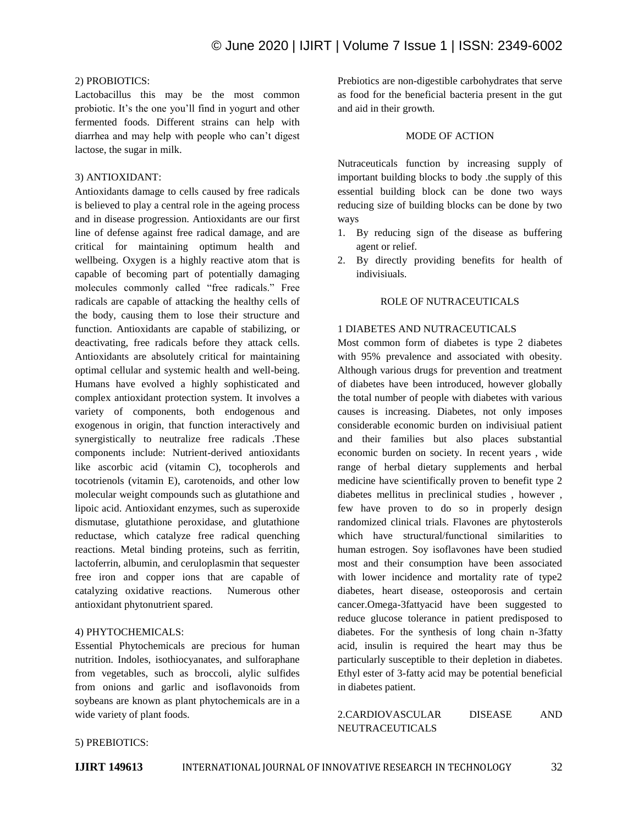#### 2) PROBIOTICS:

Lactobacillus this may be the most common probiotic. It's the one you'll find in yogurt and other fermented foods. Different strains can help with diarrhea and may help with people who can't digest lactose, the sugar in milk.

#### 3) ANTIOXIDANT:

Antioxidants damage to cells caused by free radicals is believed to play a central role in the ageing process and in disease progression. Antioxidants are our first line of defense against free radical damage, and are critical for maintaining optimum health and wellbeing. Oxygen is a highly reactive atom that is capable of becoming part of potentially damaging molecules commonly called "free radicals." Free radicals are capable of attacking the healthy cells of the body, causing them to lose their structure and function. Antioxidants are capable of stabilizing, or deactivating, free radicals before they attack cells. Antioxidants are absolutely critical for maintaining optimal cellular and systemic health and well-being. Humans have evolved a highly sophisticated and complex antioxidant protection system. It involves a variety of components, both endogenous and exogenous in origin, that function interactively and synergistically to neutralize free radicals .These components include: Nutrient-derived antioxidants like ascorbic acid (vitamin C), tocopherols and tocotrienols (vitamin E), carotenoids, and other low molecular weight compounds such as glutathione and lipoic acid. Antioxidant enzymes, such as superoxide dismutase, glutathione peroxidase, and glutathione reductase, which catalyze free radical quenching reactions. Metal binding proteins, such as ferritin, lactoferrin, albumin, and ceruloplasmin that sequester free iron and copper ions that are capable of catalyzing oxidative reactions. Numerous other antioxidant phytonutrient spared.

#### 4) PHYTOCHEMICALS:

Essential Phytochemicals are precious for human nutrition. Indoles, isothiocyanates, and sulforaphane from vegetables, such as broccoli, alylic sulfides from onions and garlic and isoflavonoids from soybeans are known as plant phytochemicals are in a wide variety of plant foods.

Prebiotics are non-digestible carbohydrates that serve as food for the beneficial bacteria present in the gut and aid in their growth.

#### MODE OF ACTION

Nutraceuticals function by increasing supply of important building blocks to body .the supply of this essential building block can be done two ways reducing size of building blocks can be done by two ways

- 1. By reducing sign of the disease as buffering agent or relief.
- 2. By directly providing benefits for health of indivisiuals.

#### ROLE OF NUTRACEUTICALS

#### 1 DIABETES AND NUTRACEUTICALS

Most common form of diabetes is type 2 diabetes with 95% prevalence and associated with obesity. Although various drugs for prevention and treatment of diabetes have been introduced, however globally the total number of people with diabetes with various causes is increasing. Diabetes, not only imposes considerable economic burden on indivisiual patient and their families but also places substantial economic burden on society. In recent years , wide range of herbal dietary supplements and herbal medicine have scientifically proven to benefit type 2 diabetes mellitus in preclinical studies , however , few have proven to do so in properly design randomized clinical trials. Flavones are phytosterols which have structural/functional similarities to human estrogen. Soy isoflavones have been studied most and their consumption have been associated with lower incidence and mortality rate of type2 diabetes, heart disease, osteoporosis and certain cancer.Omega-3fattyacid have been suggested to reduce glucose tolerance in patient predisposed to diabetes. For the synthesis of long chain n-3fatty acid, insulin is required the heart may thus be particularly susceptible to their depletion in diabetes. Ethyl ester of 3-fatty acid may be potential beneficial in diabetes patient.

## 2.CARDIOVASCULAR DISEASE AND NEUTRACEUTICALS

#### 5) PREBIOTICS: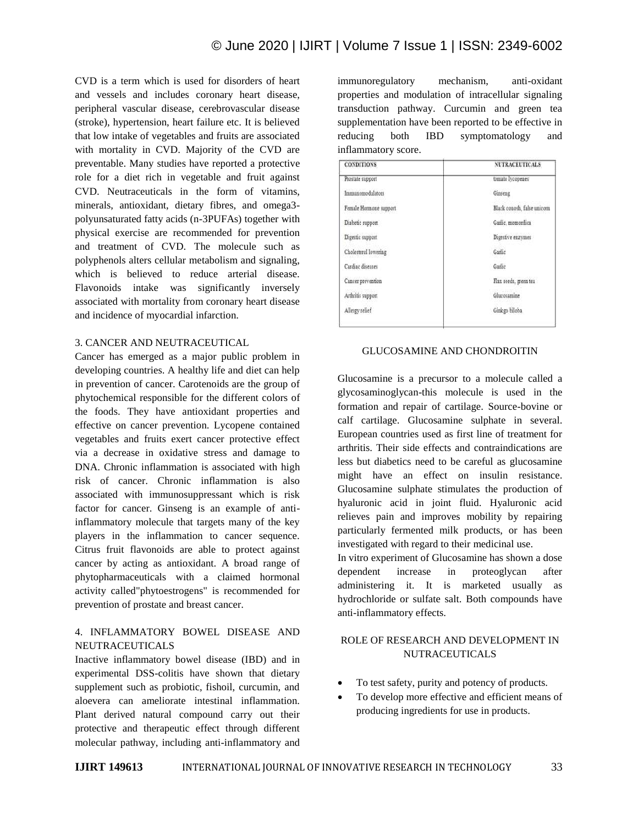CVD is a term which is used for disorders of heart and vessels and includes coronary heart disease, peripheral vascular disease, cerebrovascular disease (stroke), hypertension, heart failure etc. It is believed that low intake of vegetables and fruits are associated with mortality in CVD. Majority of the CVD are preventable. Many studies have reported a protective role for a diet rich in vegetable and fruit against CVD. Neutraceuticals in the form of vitamins, minerals, antioxidant, dietary fibres, and omega3 polyunsaturated fatty acids (n-3PUFAs) together with physical exercise are recommended for prevention and treatment of CVD. The molecule such as polyphenols alters cellular metabolism and signaling, which is believed to reduce arterial disease. Flavonoids intake was significantly inversely associated with mortality from coronary heart disease and incidence of myocardial infarction.

#### 3. CANCER AND NEUTRACEUTICAL

Cancer has emerged as a major public problem in developing countries. A healthy life and diet can help in prevention of cancer. Carotenoids are the group of phytochemical responsible for the different colors of the foods. They have antioxidant properties and effective on cancer prevention. Lycopene contained vegetables and fruits exert cancer protective effect via a decrease in oxidative stress and damage to DNA. Chronic inflammation is associated with high risk of cancer. Chronic inflammation is also associated with immunosuppressant which is risk factor for cancer. Ginseng is an example of antiinflammatory molecule that targets many of the key players in the inflammation to cancer sequence. Citrus fruit flavonoids are able to protect against cancer by acting as antioxidant. A broad range of phytopharmaceuticals with a claimed hormonal activity called"phytoestrogens" is recommended for prevention of prostate and breast cancer.

#### 4. INFLAMMATORY BOWEL DISEASE AND NEUTRACEUTICALS

Inactive inflammatory bowel disease (IBD) and in experimental DSS-colitis have shown that dietary supplement such as probiotic, fishoil, curcumin, and aloevera can ameliorate intestinal inflammation. Plant derived natural compound carry out their protective and therapeutic effect through different molecular pathway, including anti-inflammatory and immunoregulatory mechanism, anti-oxidant properties and modulation of intracellular signaling transduction pathway. Curcumin and green tea supplementation have been reported to be effective in reducing both IBD symptomatology and inflammatory score.

| <b>CONDITIONS</b>      | <b>NUTRACEUTICALS</b>      |
|------------------------|----------------------------|
| Prostate support       | tomato lycopenes           |
| Immunomodulators       | Ginseng                    |
| Female Hormone support | Black conosh, false unicom |
| Diabetic support       | Garlic, momordica          |
| Digestic support       | Digestive enzymes          |
| Cholesterol lowering   | Garlic                     |
| Cardiac diseases       | Garlie                     |
| Cancer prevention      | Flax seeds, green tea      |
| Arthritis support      | Glucosamine                |
| Allergy relief         | Ginkgo biloba              |

#### GLUCOSAMINE AND CHONDROITIN

Glucosamine is a precursor to a molecule called a glycosaminoglycan-this molecule is used in the formation and repair of cartilage. Source-bovine or calf cartilage. Glucosamine sulphate in several. European countries used as first line of treatment for arthritis. Their side effects and contraindications are less but diabetics need to be careful as glucosamine might have an effect on insulin resistance. Glucosamine sulphate stimulates the production of hyaluronic acid in joint fluid. Hyaluronic acid relieves pain and improves mobility by repairing particularly fermented milk products, or has been investigated with regard to their medicinal use. In vitro experiment of Glucosamine has shown a dose

dependent increase in proteoglycan after administering it. It is marketed usually as hydrochloride or sulfate salt. Both compounds have anti-inflammatory effects.

### ROLE OF RESEARCH AND DEVELOPMENT IN NUTRACEUTICALS

- To test safety, purity and potency of products.
- To develop more effective and efficient means of producing ingredients for use in products.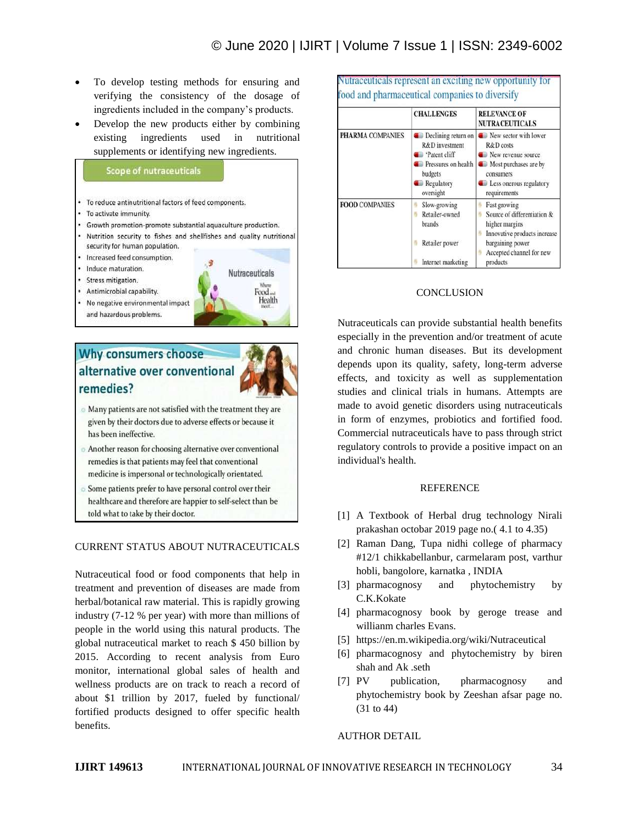- To develop testing methods for ensuring and verifying the consistency of the dosage of ingredients included in the company's products.
- Develop the new products either by combining existing ingredients used in nutritional supplements or identifying new ingredients.

## **Scope of nutraceuticals**

- To reduce antinutritional factors of feed components.
- To activate immunity
- Growth promotion-promote substantial aquaculture production.
- Nutrition security to fishes and shellfishes and quality nutritional security for human population.
- Increased feed consumption.
- Induce maturation
- Stress mitigation.
- Antimicrobial capability.
- No negative environmental impact and hazardous problems.



# Why consumers choose alternative over conventional remedies?



- Many patients are not satisfied with the treatment they are given by their doctors due to adverse effects or because it has been ineffective.
- Another reason for choosing alternative over conventional remedies is that patients may feel that conventional medicine is impersonal or technologically orientated.
- Some patients prefer to have personal control over their healthcare and therefore are happier to self-select than be told what to take by their doctor.

# CURRENT STATUS ABOUT NUTRACEUTICALS

Nutraceutical food or food components that help in treatment and prevention of diseases are made from herbal/botanical raw material. This is rapidly growing industry (7-12 % per year) with more than millions of people in the world using this natural products. The global nutraceutical market to reach \$ 450 billion by 2015. According to recent analysis from Euro monitor, international global sales of health and wellness products are on track to reach a record of about \$1 trillion by 2017, fueled by functional/ fortified products designed to offer specific health benefits.

|                       | <b>CHALLENGES</b>                                                                                                                    | <b>RELEVANCE OF</b><br><b>NUTRACEUTICALS</b>                                                                                                              |
|-----------------------|--------------------------------------------------------------------------------------------------------------------------------------|-----------------------------------------------------------------------------------------------------------------------------------------------------------|
| PHARMA COMPANIES      | $\bullet$ Declining return on<br>R&D investment<br>'Patent cliff<br>Pressures on health<br>budgets<br><b>Regulatory</b><br>oversight | New sector with lower<br>R&D costs<br>New revenue source<br><b>Computer</b> Most purchases are by<br>consumers<br>Less onerous regulatory<br>requirements |
| <b>FOOD COMPANIES</b> | Slow-growing<br>Retailer-owned<br>brands<br>Retailer power<br>Internet marketing                                                     | Fast growing<br>Source of differentiation &<br>higher margins<br>Innovative products increase<br>bargaining power<br>Accepted channel for new<br>products |

# **CONCLUSION**

Nutraceuticals can provide substantial health benefits especially in the prevention and/or treatment of acute and chronic human diseases. But its development depends upon its quality, safety, long-term adverse effects, and toxicity as well as supplementation studies and clinical trials in humans. Attempts are made to avoid genetic disorders using nutraceuticals in form of enzymes, probiotics and fortified food. Commercial nutraceuticals have to pass through strict regulatory controls to provide a positive impact on an individual's health.

#### **REFERENCE**

- [1] A Textbook of Herbal drug technology Nirali prakashan octobar 2019 page no.( 4.1 to 4.35)
- [2] Raman Dang, Tupa nidhi college of pharmacy #12/1 chikkabellanbur, carmelaram post, varthur hobli, bangolore, karnatka , INDIA
- [3] pharmacognosy and phytochemistry by C.K.Kokate
- [4] pharmacognosy book by geroge trease and willianm charles Evans.
- [5] https://en.m.wikipedia.org/wiki/Nutraceutical
- [6] pharmacognosy and phytochemistry by biren shah and Ak .seth
- [7] PV publication, pharmacognosy and phytochemistry book by Zeeshan afsar page no. (31 to 44)

# AUTHOR DETAIL